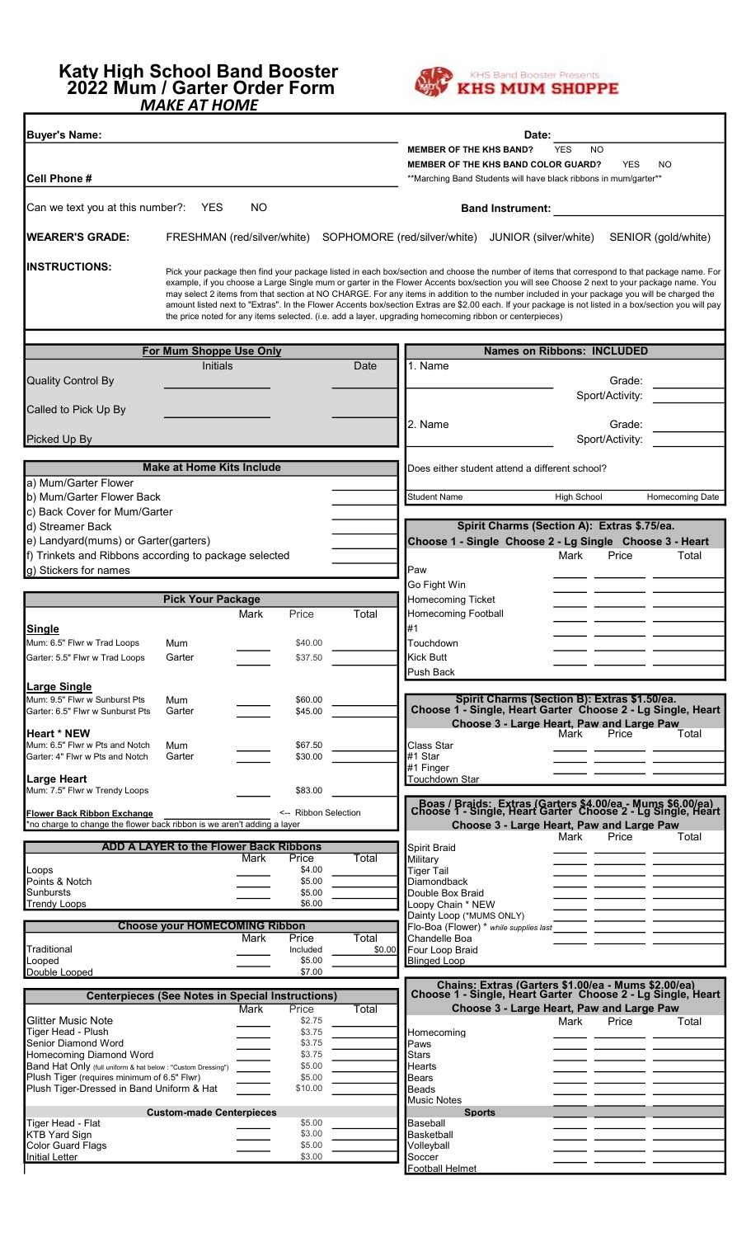## Katy High School Band Booster 2022 Mum / Garter Order Form MAKE AT HOME



| <b>Buyer's Name:</b>                                                                                          |                                                         |                                   |                                        |                 |                                                                                                                                                                                                                                                                                                                                                                                                                                                                                                                                                                                                                                                                                                               | Date:                   |                                                                                                                           |                     |
|---------------------------------------------------------------------------------------------------------------|---------------------------------------------------------|-----------------------------------|----------------------------------------|-----------------|---------------------------------------------------------------------------------------------------------------------------------------------------------------------------------------------------------------------------------------------------------------------------------------------------------------------------------------------------------------------------------------------------------------------------------------------------------------------------------------------------------------------------------------------------------------------------------------------------------------------------------------------------------------------------------------------------------------|-------------------------|---------------------------------------------------------------------------------------------------------------------------|---------------------|
|                                                                                                               |                                                         |                                   |                                        |                 | <b>MEMBER OF THE KHS BAND?</b>                                                                                                                                                                                                                                                                                                                                                                                                                                                                                                                                                                                                                                                                                |                         | <b>YES</b><br><b>NO</b>                                                                                                   |                     |
|                                                                                                               |                                                         |                                   |                                        |                 | <b>MEMBER OF THE KHS BAND COLOR GUARD?</b>                                                                                                                                                                                                                                                                                                                                                                                                                                                                                                                                                                                                                                                                    |                         | <b>YES</b><br>**Marching Band Students will have black ribbons in mum/garter**                                            | NO                  |
| Cell Phone #                                                                                                  |                                                         |                                   |                                        |                 |                                                                                                                                                                                                                                                                                                                                                                                                                                                                                                                                                                                                                                                                                                               |                         |                                                                                                                           |                     |
| Can we text you at this number?:                                                                              | <b>YES</b>                                              | NO.                               |                                        |                 |                                                                                                                                                                                                                                                                                                                                                                                                                                                                                                                                                                                                                                                                                                               | <b>Band Instrument:</b> |                                                                                                                           |                     |
| <b>WEARER'S GRADE:</b>                                                                                        | FRESHMAN (red/silver/white)                             |                                   |                                        |                 | SOPHOMORE (red/silver/white)                                                                                                                                                                                                                                                                                                                                                                                                                                                                                                                                                                                                                                                                                  | JUNIOR (silver/white)   |                                                                                                                           | SENIOR (gold/white) |
| <b>INSTRUCTIONS:</b>                                                                                          |                                                         |                                   |                                        |                 | Pick your package then find your package listed in each box/section and choose the number of items that correspond to that package name. For<br>example, if you choose a Large Single mum or garter in the Flower Accents box/section you will see Choose 2 next to your package name. You<br>may select 2 items from that section at NO CHARGE. For any items in addition to the number included in your package you will be charged the<br>amount listed next to "Extras". In the Flower Accents box/section Extras are \$2.00 each. If your package is not listed in a box/section you will pay<br>the price noted for any items selected. (i.e. add a layer, upgrading homecoming ribbon or centerpieces) |                         |                                                                                                                           |                     |
|                                                                                                               |                                                         | <b>Names on Ribbons: INCLUDED</b> |                                        |                 |                                                                                                                                                                                                                                                                                                                                                                                                                                                                                                                                                                                                                                                                                                               |                         |                                                                                                                           |                     |
|                                                                                                               | For Mum Shoppe Use Only<br><b>Initials</b>              |                                   |                                        | Date            | 1. Name                                                                                                                                                                                                                                                                                                                                                                                                                                                                                                                                                                                                                                                                                                       |                         |                                                                                                                           |                     |
| <b>Quality Control By</b>                                                                                     |                                                         |                                   |                                        |                 |                                                                                                                                                                                                                                                                                                                                                                                                                                                                                                                                                                                                                                                                                                               |                         | Grade:<br>Sport/Activity:                                                                                                 |                     |
| Called to Pick Up By                                                                                          |                                                         |                                   |                                        |                 | 2. Name                                                                                                                                                                                                                                                                                                                                                                                                                                                                                                                                                                                                                                                                                                       |                         | Grade:                                                                                                                    |                     |
| Picked Up By                                                                                                  |                                                         |                                   |                                        |                 |                                                                                                                                                                                                                                                                                                                                                                                                                                                                                                                                                                                                                                                                                                               |                         | Sport/Activity:                                                                                                           |                     |
|                                                                                                               | <b>Make at Home Kits Include</b>                        |                                   |                                        |                 | Does either student attend a different school?                                                                                                                                                                                                                                                                                                                                                                                                                                                                                                                                                                                                                                                                |                         |                                                                                                                           |                     |
| a) Mum/Garter Flower                                                                                          |                                                         |                                   |                                        |                 |                                                                                                                                                                                                                                                                                                                                                                                                                                                                                                                                                                                                                                                                                                               |                         |                                                                                                                           |                     |
| b) Mum/Garter Flower Back                                                                                     |                                                         |                                   |                                        |                 | <b>Student Name</b>                                                                                                                                                                                                                                                                                                                                                                                                                                                                                                                                                                                                                                                                                           |                         | <b>High School</b>                                                                                                        | Homecoming Date     |
| c) Back Cover for Mum/Garter                                                                                  |                                                         |                                   |                                        |                 |                                                                                                                                                                                                                                                                                                                                                                                                                                                                                                                                                                                                                                                                                                               |                         | Spirit Charms (Section A): Extras \$.75/ea.                                                                               |                     |
| d) Streamer Back<br>e) Landyard(mums) or Garter(garters)                                                      |                                                         |                                   |                                        |                 |                                                                                                                                                                                                                                                                                                                                                                                                                                                                                                                                                                                                                                                                                                               |                         | Choose 1 - Single Choose 2 - Lg Single Choose 3 - Heart                                                                   |                     |
| f) Trinkets and Ribbons according to package selected                                                         |                                                         |                                   |                                        |                 |                                                                                                                                                                                                                                                                                                                                                                                                                                                                                                                                                                                                                                                                                                               |                         | Mark<br>Price                                                                                                             | Total               |
| g) Stickers for names                                                                                         |                                                         |                                   |                                        |                 | Paw                                                                                                                                                                                                                                                                                                                                                                                                                                                                                                                                                                                                                                                                                                           |                         |                                                                                                                           |                     |
|                                                                                                               |                                                         |                                   |                                        |                 | Go Fight Win                                                                                                                                                                                                                                                                                                                                                                                                                                                                                                                                                                                                                                                                                                  |                         |                                                                                                                           |                     |
|                                                                                                               | <b>Pick Your Package</b>                                | Mark                              | Price                                  | Total           | Homecoming Ticket<br>Homecoming Football                                                                                                                                                                                                                                                                                                                                                                                                                                                                                                                                                                                                                                                                      |                         |                                                                                                                           |                     |
| Single                                                                                                        |                                                         |                                   |                                        |                 | #1                                                                                                                                                                                                                                                                                                                                                                                                                                                                                                                                                                                                                                                                                                            |                         |                                                                                                                           |                     |
| Mum: 6.5" Flwr w Trad Loops                                                                                   | Mum                                                     |                                   | \$40.00                                |                 | Touchdown                                                                                                                                                                                                                                                                                                                                                                                                                                                                                                                                                                                                                                                                                                     |                         |                                                                                                                           |                     |
| Garter: 5.5" Flwr w Trad Loops                                                                                | Garter                                                  |                                   | \$37.50                                |                 | <b>Kick Butt</b>                                                                                                                                                                                                                                                                                                                                                                                                                                                                                                                                                                                                                                                                                              |                         |                                                                                                                           |                     |
|                                                                                                               |                                                         |                                   |                                        |                 | Push Back                                                                                                                                                                                                                                                                                                                                                                                                                                                                                                                                                                                                                                                                                                     |                         |                                                                                                                           |                     |
| Large Single<br>Mum: 9.5" Flwr w Sunburst Pts                                                                 | Mum                                                     |                                   | \$60.00                                |                 |                                                                                                                                                                                                                                                                                                                                                                                                                                                                                                                                                                                                                                                                                                               |                         | Spirit Charms (Section B): Extras \$1.50/ea.                                                                              |                     |
| Garter: 6.5" Flwr w Sunburst Pts<br><b>Heart * NEW</b>                                                        | Garter                                                  |                                   | \$45.00                                |                 |                                                                                                                                                                                                                                                                                                                                                                                                                                                                                                                                                                                                                                                                                                               |                         | Choose 1 - Single, Heart Garter Choose 2 - Lg Single, Heart<br>Choose 3 - Large Heart, Paw and Large Paw<br>Mark<br>Price | Total               |
| Mum: 6.5" Flwr w Pts and Notch                                                                                | Mum                                                     |                                   | \$67.50                                |                 | Class Star                                                                                                                                                                                                                                                                                                                                                                                                                                                                                                                                                                                                                                                                                                    |                         |                                                                                                                           |                     |
| Garter: 4" Flwr w Pts and Notch                                                                               | Garter                                                  |                                   | \$30.00                                |                 | #1 Star<br>#1 Finger                                                                                                                                                                                                                                                                                                                                                                                                                                                                                                                                                                                                                                                                                          |                         |                                                                                                                           |                     |
| <b>Large Heart</b>                                                                                            |                                                         |                                   |                                        |                 | Touchdown Star                                                                                                                                                                                                                                                                                                                                                                                                                                                                                                                                                                                                                                                                                                |                         |                                                                                                                           |                     |
| Mum: 7.5" Flwr w Trendy Loops                                                                                 |                                                         |                                   | \$83.00                                |                 |                                                                                                                                                                                                                                                                                                                                                                                                                                                                                                                                                                                                                                                                                                               |                         |                                                                                                                           |                     |
| <b>Flower Back Ribbon Exchange</b><br>*no charge to change the flower back ribbon is we aren't adding a layer |                                                         |                                   | <-- Ribbon Selection                   |                 |                                                                                                                                                                                                                                                                                                                                                                                                                                                                                                                                                                                                                                                                                                               |                         | Boas / Braids: Extras (Garters \$4.00/ea - Mums \$6.00/ea)<br>Choose 1 - Single, Heart Garter Choose 2 - Lg Single, Heart |                     |
|                                                                                                               |                                                         |                                   |                                        |                 | Choose 3 - Large Heart, Paw and Large Paw<br>Mark<br>Price                                                                                                                                                                                                                                                                                                                                                                                                                                                                                                                                                                                                                                                    | Total                   |                                                                                                                           |                     |
|                                                                                                               | <b>ADD A LAYER to the Flower Back Ribbons</b>           | Mark                              | Price                                  | Total           | Spirit Braid<br>Military                                                                                                                                                                                                                                                                                                                                                                                                                                                                                                                                                                                                                                                                                      |                         |                                                                                                                           |                     |
| Loops                                                                                                         |                                                         |                                   | \$4.00                                 |                 | <b>Tiger Tail</b>                                                                                                                                                                                                                                                                                                                                                                                                                                                                                                                                                                                                                                                                                             |                         |                                                                                                                           |                     |
| Points & Notch<br><b>Sunbursts</b>                                                                            |                                                         |                                   | \$5.00<br>\$5.00                       |                 | <b>Diamondback</b><br>Double Box Braid                                                                                                                                                                                                                                                                                                                                                                                                                                                                                                                                                                                                                                                                        |                         |                                                                                                                           |                     |
| Trendy Loops                                                                                                  |                                                         |                                   | \$6.00                                 |                 | Loopy Chain * NEW<br>Dainty Loop (*MUMS ONLY)                                                                                                                                                                                                                                                                                                                                                                                                                                                                                                                                                                                                                                                                 |                         |                                                                                                                           |                     |
|                                                                                                               | <b>Choose your HOMECOMING Ribbon</b>                    |                                   | Flo-Boa (Flower) * while supplies last |                 |                                                                                                                                                                                                                                                                                                                                                                                                                                                                                                                                                                                                                                                                                                               |                         |                                                                                                                           |                     |
| Traditional                                                                                                   |                                                         | Mark                              | Price<br>Included                      | Total<br>\$0.00 | Chandelle Boa<br>Four Loop Braid                                                                                                                                                                                                                                                                                                                                                                                                                                                                                                                                                                                                                                                                              |                         |                                                                                                                           |                     |
| Looped                                                                                                        |                                                         |                                   | \$5.00                                 |                 | <b>Blinged Loop</b>                                                                                                                                                                                                                                                                                                                                                                                                                                                                                                                                                                                                                                                                                           |                         |                                                                                                                           |                     |
| Double Looped                                                                                                 |                                                         |                                   | \$7.00                                 |                 |                                                                                                                                                                                                                                                                                                                                                                                                                                                                                                                                                                                                                                                                                                               |                         | Chains: Extras (Garters \$1.00/ea - Mums \$2.00/ea)                                                                       |                     |
|                                                                                                               | <b>Centerpieces (See Notes in Special Instructions)</b> |                                   |                                        |                 |                                                                                                                                                                                                                                                                                                                                                                                                                                                                                                                                                                                                                                                                                                               |                         | Choose 1 - Single, Heart Garter Choose 2 - Lg Single, Heart                                                               |                     |
| Glitter Music Note                                                                                            |                                                         | Mark                              | Price<br>\$2.75                        | Total           |                                                                                                                                                                                                                                                                                                                                                                                                                                                                                                                                                                                                                                                                                                               |                         | Choose 3 - Large Heart, Paw and Large Paw<br>Mark<br>Price                                                                | Total               |
| Tiger Head - Plush                                                                                            |                                                         |                                   | \$3.75                                 |                 | Homecomina                                                                                                                                                                                                                                                                                                                                                                                                                                                                                                                                                                                                                                                                                                    |                         |                                                                                                                           |                     |
| Senior Diamond Word<br>Homecoming Diamond Word                                                                |                                                         |                                   | \$3.75<br>\$3.75                       |                 | Paws<br><b>Stars</b>                                                                                                                                                                                                                                                                                                                                                                                                                                                                                                                                                                                                                                                                                          |                         |                                                                                                                           |                     |
| Band Hat Only (full uniform & hat below : "Custom Dressing")<br>Plush Tiger (requires minimum of 6.5" Flwr)   |                                                         |                                   | \$5.00<br>\$5.00                       |                 | <b>Hearts</b><br><b>Bears</b>                                                                                                                                                                                                                                                                                                                                                                                                                                                                                                                                                                                                                                                                                 |                         |                                                                                                                           |                     |
| Plush Tiger-Dressed in Band Uniform & Hat                                                                     |                                                         |                                   | \$10.00                                |                 | Beads                                                                                                                                                                                                                                                                                                                                                                                                                                                                                                                                                                                                                                                                                                         |                         |                                                                                                                           |                     |
|                                                                                                               | <b>Custom-made Centerpieces</b>                         |                                   |                                        |                 | Music Notes<br><b>Sports</b>                                                                                                                                                                                                                                                                                                                                                                                                                                                                                                                                                                                                                                                                                  |                         |                                                                                                                           |                     |
| Tiger Head - Flat                                                                                             |                                                         |                                   | \$5.00                                 |                 | Baseball                                                                                                                                                                                                                                                                                                                                                                                                                                                                                                                                                                                                                                                                                                      |                         |                                                                                                                           |                     |
| <b>KTB Yard Sign</b><br><b>Color Guard Flags</b>                                                              |                                                         |                                   | \$3.00<br>\$5.00                       |                 | Basketball<br>Volleyball                                                                                                                                                                                                                                                                                                                                                                                                                                                                                                                                                                                                                                                                                      |                         |                                                                                                                           |                     |
| <b>Initial Letter</b>                                                                                         |                                                         |                                   | \$3.00                                 |                 | Soccer                                                                                                                                                                                                                                                                                                                                                                                                                                                                                                                                                                                                                                                                                                        |                         | $-$                                                                                                                       |                     |
|                                                                                                               |                                                         |                                   |                                        |                 | Football Helmet                                                                                                                                                                                                                                                                                                                                                                                                                                                                                                                                                                                                                                                                                               |                         |                                                                                                                           |                     |